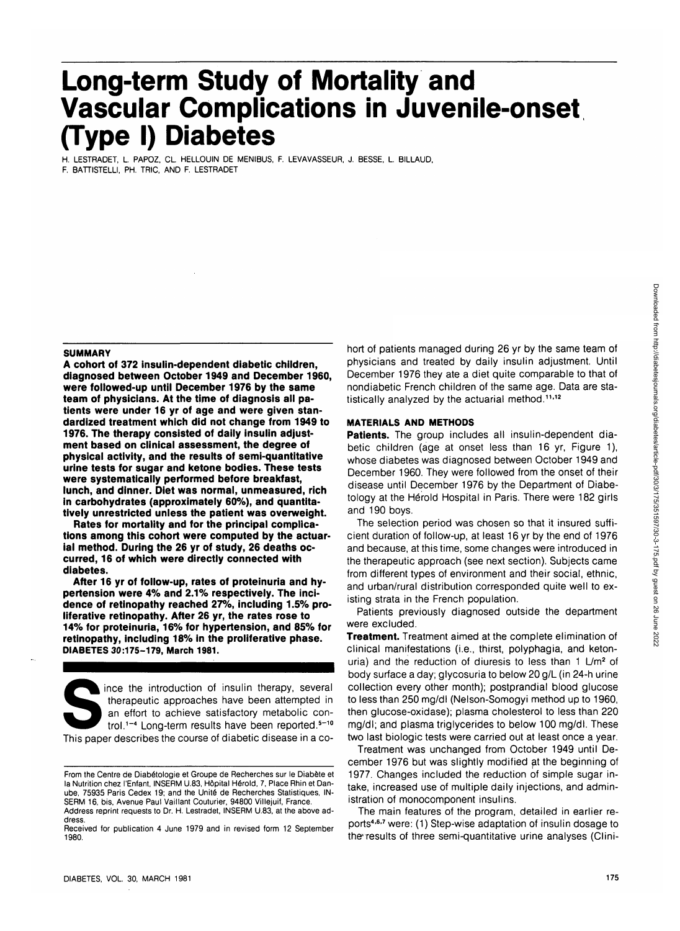# **Long-term Study of Mortality and Vascular Complications in Juvenile-onset (Type I) Diabetes**

H. LESTRADET, L PAPOZ, CL HELLOUIN DE MENIBUS, F. LEVAVASSEUR, J. BESSE, L BILLAUD, F. BATTISTELLI, PH. TRIC, AND F. LESTRADET

#### **SUMMARY**

**A cohort of 372 insulin-dependent diabetic children, diagnosed between October 1949 and December 1960, were followed-up until December 1976 by the same team of physicians. At the time of diagnosis all patients were under 16 yr of age and were given standardized treatment which did not change from 1949 to 1976. The therapy consisted of daily insulin adjustment based on clinical assessment, the degree of physical activity, and the results of semi-quantitative urine tests for sugar and ketone bodies. These tests were systematically performed before breakfast, lunch, and dinner. Diet was normal, unmeasured, rich in carbohydrates (approximately 60%), and quantitatively unrestricted unless the patient was overweight.**

**Rates for mortality and for the principal complications among this cohort were computed by the actuarial method. During the 26 yr of study, 26 deaths occurred, 16 of which were directly connected with diabetes.**

**After 16 yr of follow-up, rates of proteinuria and hypertension were 4% and 2.1% respectively. The incidence of retinopathy reached 27%, including 1.5% proliferative retinopathy. After 26 yr, the rates rose to 14% for proteinuria, 16% for hypertension, and 85% for retinopathy, including 18% in the proliferative phase. DIABETES 30:175-179, March 1981.**

ince the introduction of insulin therapy, several therapeutic approaches have been attempted in an effort to achieve satisfactory metabolic control.<sup>1-4</sup> Long-term results have been reported.<sup>5-10</sup>

This paper describes the course of diabetic disease in a co-

From the Centre de Diab6tologie et Groupe de Recherches sur le Diabete et la Nutrition chez I'Enfant, INSERM U.83, Hdpital Herald, 7, Place Rhin et Danube, 75935 Paris Cedex 19; and the Unite de Recherches Statistiques, IN-SERM 16, bis, Avenue Paul Vaillant Couturier, 94800 Villejuif, France.

hort of patients managed during 26 yr by the same team of physicians and treated by daily insulin adjustment. Until December 1976 they ate a diet quite comparable to that of nondiabetic French children of the same age. Data are statistically analyzed by the actuarial method.<sup>11,12</sup>

## **MATERIALS AND METHODS**

**Patients.** The group includes all insulin-dependent diabetic children (age at onset less than 16 yr, Figure 1), whose diabetes was diagnosed between October 1949 and December 1960. They were followed from the onset of their disease until December 1976 by the Department of Diabetology at the Herold Hospital in Paris. There were 182 girls and 190 boys.

The selection period was chosen so that it insured sufficient duration of follow-up, at least 16 yr by the end of 1976 and because, at this time, some changes were introduced in the therapeutic approach (see next section). Subjects came from different types of environment and their social, ethnic, and urban/rural distribution corresponded quite well to existing strata in the French population.

Patients previously diagnosed outside the department were excluded.

**Treatment.** Treatment aimed at the complete elimination of clinical manifestations (i.e., thirst, polyphagia, and ketonuria) and the reduction of diuresis to less than 1 L/m<sup>2</sup> of body surface a day; glycosuria to below 20 g/L (in 24-h urine collection every other month); postprandial blood glucose to less than 250 mg/dl (Nelson-Somogyi method up to 1960, then glucose-oxidase); plasma cholesterol to less than 220 mg/dl; and plasma triglycerides to below 100 mg/dl. These two last biologic tests were carried out at least once a year.

Treatment was unchanged from October 1949 until December 1976 but was slightly modified at the beginning of 1977. Changes included the reduction of simple sugar intake, increased use of multiple daily injections, and administration of monocomponent insulins.

The main features of the program, detailed in earlier reports<sup>4,6,7</sup> were: (1) Step-wise adaptation of insulin dosage to the results of three semi-quantitative urine analyses (Clini-

Address reprint requests to Dr. H. Lestradet, INSERM U.83, at the above address.

Received for publication 4 June 1979 and in revised form 12 September 1980.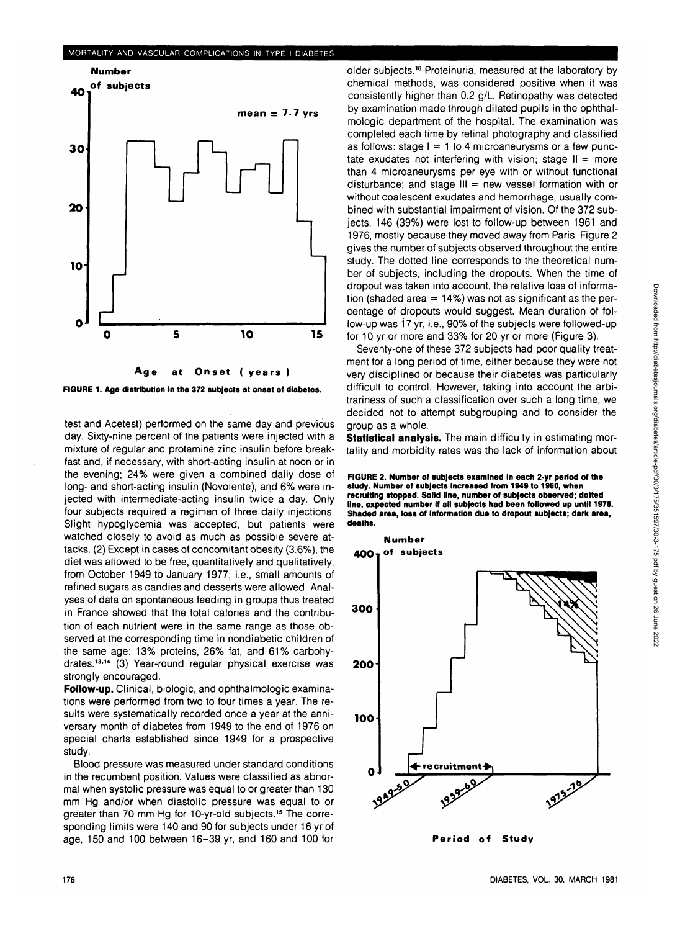#### MORTALITY AND VASCULAR COMPLICATIONS IN TYPE I DIABETES



**FIGURE 1. Age distribution in the 372 subjects at onset of diabetes.**

test and Acetest) performed on the same day and previous day. Sixty-nine percent of the patients were injected with a mixture of regular and protamine zinc insulin before breakfast and, if necessary, with short-acting insulin at noon or in the evening; 24% were given a combined daily dose of long- and short-acting insulin (Novolente), and 6% were injected with intermediate-acting insulin twice a day. Only four subjects required a regimen of three daily injections. Slight hypoglycemia was accepted, but patients were watched closely to avoid as much as possible severe attacks. (2) Except in cases of concomitant obesity (3.6%), the diet was allowed to be free, quantitatively and qualitatively, from October 1949 to January 1977; i.e., small amounts of refined sugars as candies and desserts were allowed. Analyses of data on spontaneous feeding in groups thus treated in France showed that the total calories and the contribution of each nutrient were in the same range as those observed at the corresponding time in nondiabetic children of the same age: 13% proteins, 26% fat, and 61% carbohydrates.<sup>13,14</sup> (3) Year-round regular physical exercise was strongly encouraged.

**Follow-up.** Clinical, biologic, and ophthalmologic examinations were performed from two to four times a year. The results were systematically recorded once a year at the anniversary month of diabetes from 1949 to the end of 1976 on special charts established since 1949 for a prospective study.

Blood pressure was measured under standard conditions in the recumbent position. Values were classified as abnormal when systolic pressure was equal to or greater than 130 mm Hg and/or when diastolic pressure was equal to or greater than 70 mm Hg for 10-yr-old subjects.<sup>15</sup> The corresponding limits were 140 and 90 for subjects under 16 yr of age, 150 and 100 between 16-39 yr, and 160 and 100 for

older subjects.<sup>16</sup> Proteinuria, measured at the laboratory by chemical methods, was considered positive when it was consistently higher than 0.2 g/L Retinopathy was detected by examination made through dilated pupils in the ophthalmologic department of the hospital. The examination was completed each time by retinal photography and classified as follows: stage  $I = 1$  to 4 microaneurysms or a few punctate exudates not interfering with vision; stage  $II = more$ than 4 microaneurysms per eye with or without functional disturbance; and stage  $III = new vessel$  formation with or without coalescent exudates and hemorrhage, usually combined with substantial impairment of vision. Of the 372 subjects, 146 (39%) were lost to follow-up between 1961 and 1976, mostly because they moved away from Paris. Figure 2 gives the number of subjects observed throughout the entire study. The dotted line corresponds to the theoretical number of subjects, including the dropouts. When the time of dropout was taken into account, the relative loss of information (shaded area  $= 14\%$ ) was not as significant as the percentage of dropouts would suggest. Mean duration of follow-up was 17 yr, i.e., 90% of the subjects were followed-up for 10 yr or more and 33% for 20 yr or more (Figure 3).

Seventy-one of these 372 subjects had poor quality treatment for a long period of time, either because they were not very disciplined or because their diabetes was particularly difficult to control. However, taking into account the arbitrariness of such a classification over such a long time, we decided not to attempt subgrouping and to consider the group as a whole.

**Statistical analysis.** The main difficulty in estimating mortality and morbidity rates was the lack of information about

**FIGURE 2. Number of subjects examined In each 2-yr period of the study. Number of subjects Increased from 1949 to 1960, when recruiting stopped. Solid line, number of subjects observed; dotted line, expected number If all subjects had been followed up until 1976. Shaded area, loss of information due to dropout subjects; dark area, deaths.**



**Period of Study**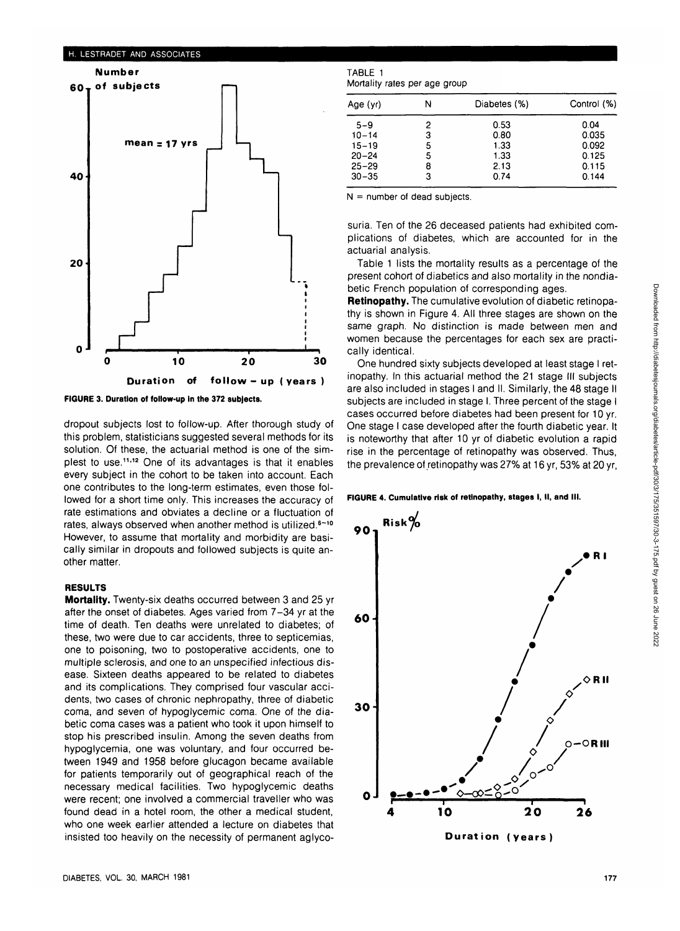#### H. LESTRADET AND ASSOCIATES



**FIGURE 3. Duration of follow-up In the 372 subjects.**

dropout subjects lost to follow-up. After thorough study of this problem, statisticians suggested several methods for its solution. Of these, the actuarial method is one of the simplest to use.<sup>11,12</sup> One of its advantages is that it enables every subject in the cohort to be taken into account. Each one contributes to the long-term estimates, even those followed for a short time only. This increases the accuracy of rate estimations and obviates a decline or a fluctuation of rates, always observed when another method is utilized.<sup>6-10</sup> However, to assume that mortality and morbidity are basically similar in dropouts and followed subjects is quite another matter.

# **RESULTS**

**Mortality.** Twenty-six deaths occurred between 3 and 25 yr after the onset of diabetes. Ages varied from 7-34 yr at the time of death. Ten deaths were unrelated to diabetes; of these, two were due to car accidents, three to septicemias, one to poisoning, two to postoperative accidents, one to multiple sclerosis, and one to an unspecified infectious disease. Sixteen deaths appeared to be related to diabetes and its complications. They comprised four vascular accidents, two cases of chronic nephropathy, three of diabetic coma, and seven of hypoglycemic coma. One of the diabetic coma cases was a patient who took it upon himself to stop his prescribed insulin. Among the seven deaths from hypoglycemia, one was voluntary, and four occurred between 1949 and 1958 before glucagon became available for patients temporarily out of geographical reach of the necessary medical facilities. Two hypoglycemic deaths were recent; one involved a commercial traveller who was found dead in a hotel room, the other a medical student, who one week earlier attended a lecture on diabetes that insisted too heavily on the necessity of permanent aglyco-

| TABLE 1                       |  |  |
|-------------------------------|--|--|
| Mortality rates per age group |  |  |

| Age (yr)  | N | Diabetes (%) | Control (%) |
|-----------|---|--------------|-------------|
| $5 - 9$   | 2 | 0.53         | 0.04        |
| $10 - 14$ | 3 | 0.80         | 0.035       |
| $15 - 19$ | 5 | 1.33         | 0.092       |
| $20 - 24$ | 5 | 1.33         | 0.125       |
| $25 - 29$ | 8 | 2.13         | 0.115       |
| $30 - 35$ | 3 | 0.74         | 0.144       |

 $N =$  number of dead subjects.

suria. Ten of the 26 deceased patients had exhibited complications of diabetes, which are accounted for in the actuarial analysis.

Table 1 lists the mortality results as a percentage of the present cohort of diabetics and also mortality in the nondiabetic French population of corresponding ages.

**Retinopathy.** The cumulative evolution of diabetic retinopathy is shown in Figure 4. All three stages are shown on the same graph. No distinction is made between men and women because the percentages for each sex are practically identical.

One hundred sixty subjects developed at least stage I retinopathy. In this actuarial method the 21 stage III subjects are also included in stages I and II. Similarly, the 48 stage II subjects are included in stage I. Three percent of the stage I cases occurred before diabetes had been present for 10 yr. One stage I case developed after the fourth diabetic year. It is noteworthy that after 10 yr of diabetic evolution a rapid rise in the percentage of retinopathy was observed. Thus, the prevalence of retinopathy was 27% at 16 yr, 53% at 20 yr,

**FIGURE 4. Cumulative risk of retinopathy, stages I, II, and III.**



**Duration (years)**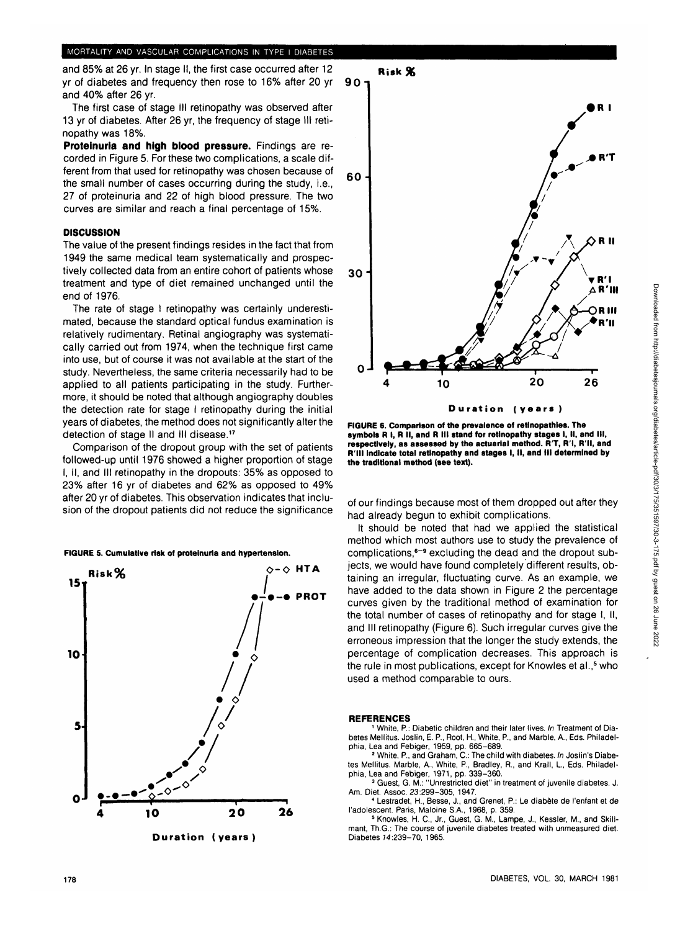and 85% at 26 yr. In stage II, the first case occurred after 12 yr of diabetes and frequency then rose to 16% after 20 yr and 40% after 26 yr.

The first case of stage III retinopathy was observed after 13 yr of diabetes. After 26 yr, the frequency of stage III retinopathy was 18%.

**Proteinuria and high blood pressure.** Findings are recorded in Figure 5. For these two complications, a scale different from that used for retinopathy was chosen because of the small number of cases occurring during the study, i.e., 27 of proteinuria and 22 of high blood pressure. The two curves are similar and reach a final percentage of 15%.

#### **DISCUSSION**

The value of the present findings resides in the fact that from 1949 the same medical team systematically and prospectively collected data from an entire cohort of patients whose treatment and type of diet remained unchanged until the end of 1976.

The rate of stage I retinopathy was certainly underestimated, because the standard optical fundus examination is relatively rudimentary. Retinal angiography was systematically carried out from 1974, when the technique first came into use, but of course it was not available at the start of the study. Nevertheless, the same criteria necessarily had to be applied to all patients participating in the study. Furthermore, it should be noted that although angiography doubles the detection rate for stage I retinopathy during the initial years of diabetes, the method does not significantly alter the detection of stage II and III disease.<sup>17</sup>

Comparison of the dropout group with the set of patients followed-up until 1976 showed a higher proportion of stage I, II, and III retinopathy in the dropouts: 35% as opposed to 23% after 16 yr of diabetes and 62% as opposed to 49% after 20 yr of diabetes. This observation indicates that inclusion of the dropout patients did not reduce the significance

**FIGURE 5. Cumulative risk of proteinuria and hypertension.**





**FIGURE 6. Comparison of the prevalence of retlnopathles. The symbols R I, R II, and R III stand for retinopathy stages I, II, and III, respectively, as assessed by the actuarial method. R'T, R'l, R'll, and RIM Indicate total retinopathy and stages I, II, and III determined by the traditional method (see text).**

of our findings because most of them dropped out after they had already begun to exhibit complications.

It should be noted that had we applied the statistical method which most authors use to study the prevalence of complications,<sup>6-9</sup> excluding the dead and the dropout subjects, we would have found completely different results, obtaining an irregular, fluctuating curve. As an example, we have added to the data shown in Figure 2 the percentage curves given by the traditional method of examination for the total number of cases of retinopathy and for stage I, II, and III retinopathy (Figure 6). Such irregular curves give the erroneous impression that the longer the study extends, the percentage of complication decreases. This approach is the rule in most publications, except for Knowles et al.,<sup>5</sup> who used a method comparable to ours.

#### **REFERENCES**

 White, P.: Diabetic children and their later lives. In Treatment of Diabetes Mellitus. Joslin, E. P., Root, H, White, P., and Marble, A., Eds. Philadelphia, Lea and Febiger, 1959, pp. 665–689.<br>2 White, P., and Graham, C.: The child with diabetes. In Joslin's Diabe-

tes Mellitus. Marble, A., White, P., Bradley, R., and Krall, L., Eds. Philadelphia, Lea and Febiger, 1971, pp. 339-360.<br>3 Guest, G. M.: "Unrestricted diet" in treatment of juvenile diabetes. J.

Am. Diet. Assoc. 23:299-305, 1947. <sup>4</sup>

 Lestradet, H., Besse, J., and Grenet, P.: Le diabete de I'enfant et de l'adolescent. Paris, Maloine S.A., 1968, p. 359.

 Knowles, H. C, Jr., Guest, G. M., Lampe, J., Kessler, M., and Skillmant, Th.G.: The course of juvenile diabetes treated with unmeasured diet. Diabetes 74:239-70, 1965.